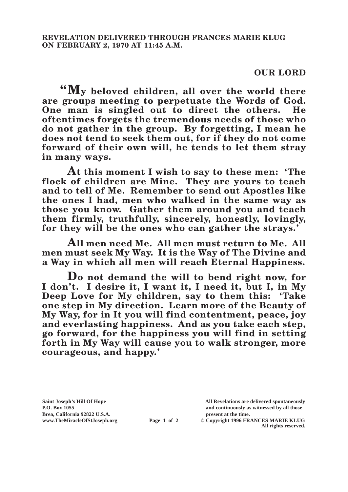## **OUR LORD**

**"My beloved children, all over the world there are groups meeting to perpetuate the Words of God. One man is singled out to direct the others. He oftentimes forgets the tremendous needs of those who do not gather in the group. By forgetting, I mean he does not tend to seek them out, for if they do not come forward of their own will, he tends to let them stray in many ways.**

**At this moment I wish to say to these men: 'The flock of children are Mine. They are yours to teach and to tell of Me. Remember to send out Apostles like the ones I had, men who walked in the same way as those you know. Gather them around you and teach them firmly, truthfully, sincerely, honestly, lovingly, for they will be the ones who can gather the strays.'**

**All men need Me. All men must return to Me. All men must seek My Way. It is the Way of The Divine and a Way in which all men will reach Eternal Happiness.**

**Do not demand the will to bend right now, for I don't. I desire it, I want it, I need it, but I, in My Deep Love for My children, say to them this: 'Take one step in My direction. Learn more of the Beauty of My Way, for in It you will find contentment, peace, joy and everlasting happiness. And as you take each step, go forward, for the happiness you will find in setting forth in My Way will cause you to walk stronger, more courageous, and happy.'**

**Saint Joseph's Hill Of Hope All Revelations are delivered spontaneously P.O. Box 1055 and continuously as witnessed by all those** 

**Page 1 of 2** © Copyright 1996 FRANCES MARIE KLUG **All rights reserved.**